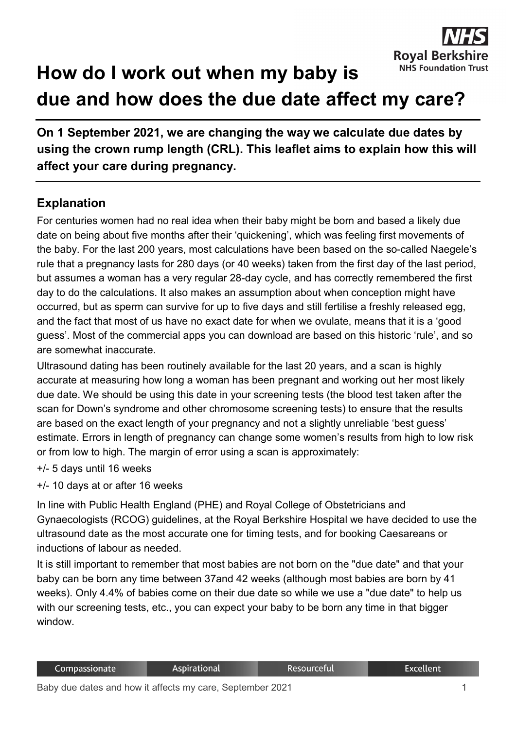

## **How do I work out when my baby is due and how does the due date affect my care?**

**On 1 September 2021, we are changing the way we calculate due dates by using the crown rump length (CRL). This leaflet aims to explain how this will affect your care during pregnancy.**

## **Explanation**

For centuries women had no real idea when their baby might be born and based a likely due date on being about five months after their 'quickening', which was feeling first movements of the baby. For the last 200 years, most calculations have been based on the so-called Naegele's rule that a pregnancy lasts for 280 days (or 40 weeks) taken from the first day of the last period, but assumes a woman has a very regular 28-day cycle, and has correctly remembered the first day to do the calculations. It also makes an assumption about when conception might have occurred, but as sperm can survive for up to five days and still fertilise a freshly released egg, and the fact that most of us have no exact date for when we ovulate, means that it is a 'good guess'. Most of the commercial apps you can download are based on this historic 'rule', and so are somewhat inaccurate.

Ultrasound dating has been routinely available for the last 20 years, and a scan is highly accurate at measuring how long a woman has been pregnant and working out her most likely due date. We should be using this date in your screening tests (the blood test taken after the scan for Down's syndrome and other chromosome screening tests) to ensure that the results are based on the exact length of your pregnancy and not a slightly unreliable 'best guess' estimate. Errors in length of pregnancy can change some women's results from high to low risk or from low to high. The margin of error using a scan is approximately:

- +/- 5 days until 16 weeks
- +/- 10 days at or after 16 weeks

In line with Public Health England (PHE) and Royal College of Obstetricians and Gynaecologists (RCOG) guidelines, at the Royal Berkshire Hospital we have decided to use the ultrasound date as the most accurate one for timing tests, and for booking Caesareans or inductions of labour as needed.

It is still important to remember that most babies are not born on the "due date" and that your baby can be born any time between 37and 42 weeks (although most babies are born by 41 weeks). Only 4.4% of babies come on their due date so while we use a "due date" to help us with our screening tests, etc., you can expect your baby to be born any time in that bigger window.